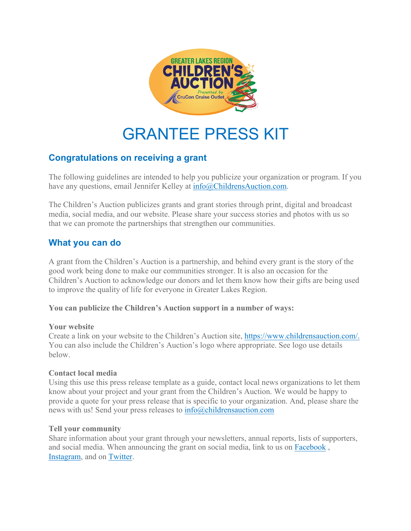

# GRANTEE PRESS KIT

## **Congratulations on receiving a grant**

The following guidelines are intended to help you publicize your organization or program. If you have any questions, email Jennifer Kelley at info@ChildrensAuction.com.

The Children's Auction publicizes grants and grant stories through print, digital and broadcast media, social media, and our website. Please share your success stories and photos with us so that we can promote the partnerships that strengthen our communities.

### **What you can do**

A grant from the Children's Auction is a partnership, and behind every grant is the story of the good work being done to make our communities stronger. It is also an occasion for the Children's Auction to acknowledge our donors and let them know how their gifts are being used to improve the quality of life for everyone in Greater Lakes Region.

### **You can publicize the Children's Auction support in a number of ways:**

### **Your website**

Create a link on your website to the Children's Auction site, https://www.childrensauction.com/. You can also include the Children's Auction's logo where appropriate. See logo use details below.

### **Contact local media**

Using this use this press release template as a guide, contact local news organizations to let them know about your project and your grant from the Children's Auction. We would be happy to provide a quote for your press release that is specific to your organization. And, please share the news with us! Send your press releases to info@childrensauction.com

### **Tell your community**

Share information about your grant through your newsletters, annual reports, lists of supporters, and social media. When announcing the grant on social media, link to us on Facebook , Instagram, and on Twitter.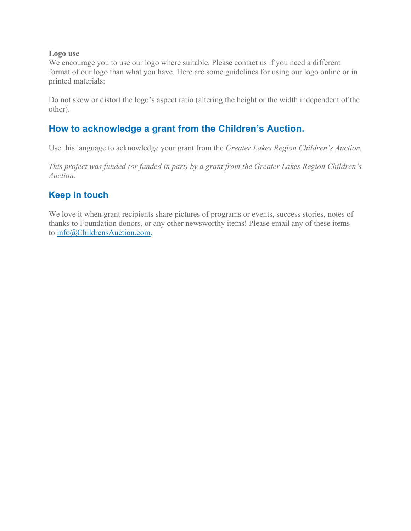### **Logo use**

We encourage you to use our logo where suitable. Please contact us if you need a different format of our logo than what you have. Here are some guidelines for using our logo online or in printed materials:

Do not skew or distort the logo's aspect ratio (altering the height or the width independent of the other).

# **How to acknowledge a grant from the Children's Auction.**

Use this language to acknowledge your grant from the *Greater Lakes Region Children's Auction.*

*This project was funded (or funded in part) by a grant from the Greater Lakes Region Children's Auction.*

# **Keep in touch**

We love it when grant recipients share pictures of programs or events, success stories, notes of thanks to Foundation donors, or any other newsworthy items! Please email any of these items to info@ChildrensAuction.com.